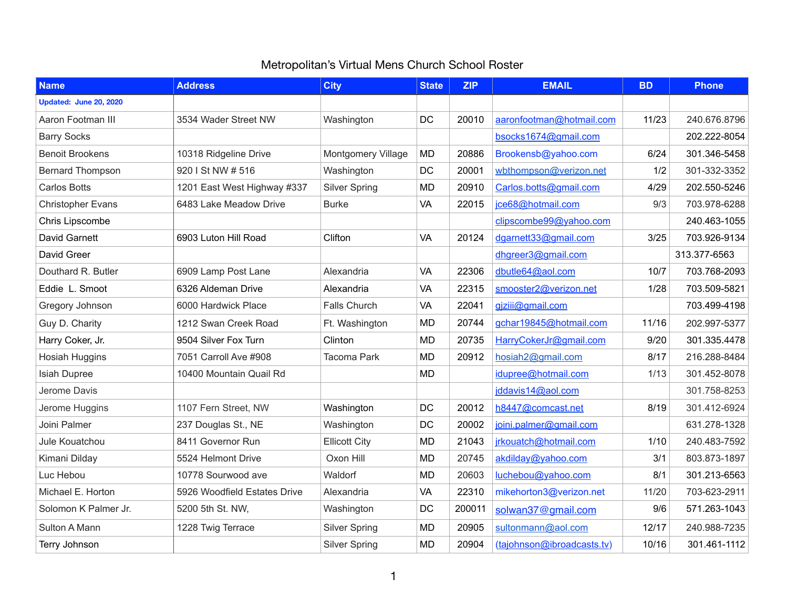## Metropolitan's Virtual Mens Church School Roster

| <b>Name</b>              | <b>Address</b>               | <b>City</b>               | <b>State</b> | <b>ZIP</b> | <b>EMAIL</b>               | <b>BD</b> | <b>Phone</b> |
|--------------------------|------------------------------|---------------------------|--------------|------------|----------------------------|-----------|--------------|
| Updated: June 20, 2020   |                              |                           |              |            |                            |           |              |
| Aaron Footman III        | 3534 Wader Street NW         | Washington                | <b>DC</b>    | 20010      | aaronfootman@hotmail.com   | 11/23     | 240.676.8796 |
| <b>Barry Socks</b>       |                              |                           |              |            | bsocks1674@gmail.com       |           | 202.222-8054 |
| <b>Benoit Brookens</b>   | 10318 Ridgeline Drive        | <b>Montgomery Village</b> | <b>MD</b>    | 20886      | Brookensb@yahoo.com        | 6/24      | 301.346-5458 |
| <b>Bernard Thompson</b>  | 920 I St NW # 516            | Washington                | DC           | 20001      | wbthompson@verizon.net     | 1/2       | 301-332-3352 |
| <b>Carlos Botts</b>      | 1201 East West Highway #337  | <b>Silver Spring</b>      | <b>MD</b>    | 20910      | Carlos.botts@gmail.com     | 4/29      | 202.550-5246 |
| <b>Christopher Evans</b> | 6483 Lake Meadow Drive       | <b>Burke</b>              | <b>VA</b>    | 22015      | jce68@hotmail.com          | 9/3       | 703.978-6288 |
| <b>Chris Lipscombe</b>   |                              |                           |              |            | clipscombe99@yahoo.com     |           | 240.463-1055 |
| David Garnett            | 6903 Luton Hill Road         | Clifton                   | <b>VA</b>    | 20124      | dgarnett33@gmail.com       | 3/25      | 703.926-9134 |
| David Greer              |                              |                           |              |            | dhgreer3@gmail.com         |           | 313.377-6563 |
| Douthard R. Butler       | 6909 Lamp Post Lane          | Alexandria                | VA           | 22306      | dbutle64@aol.com           | 10/7      | 703.768-2093 |
| Eddie L. Smoot           | 6326 Aldeman Drive           | Alexandria                | VA           | 22315      | smooster2@verizon.net      | 1/28      | 703.509-5821 |
| Gregory Johnson          | 6000 Hardwick Place          | <b>Falls Church</b>       | <b>VA</b>    | 22041      | gjziij@gmail.com           |           | 703.499-4198 |
| Guy D. Charity           | 1212 Swan Creek Road         | Ft. Washington            | MD           | 20744      | gchar19845@hotmail.com     | 11/16     | 202.997-5377 |
| Harry Coker, Jr.         | 9504 Silver Fox Turn         | Clinton                   | <b>MD</b>    | 20735      | HarryCokerJr@gmail.com     | 9/20      | 301.335.4478 |
| <b>Hosiah Huggins</b>    | 7051 Carroll Ave #908        | <b>Tacoma Park</b>        | MD           | 20912      | hosiah2@gmail.com          | 8/17      | 216.288-8484 |
| <b>Isiah Dupree</b>      | 10400 Mountain Quail Rd      |                           | <b>MD</b>    |            | idupree@hotmail.com        | 1/13      | 301.452-8078 |
| Jerome Davis             |                              |                           |              |            | iddavis14@aol.com          |           | 301.758-8253 |
| Jerome Huggins           | 1107 Fern Street, NW         | Washington                | DC           | 20012      | h8447@comcast.net          | 8/19      | 301.412-6924 |
| Joini Palmer             | 237 Douglas St., NE          | Washington                | DC           | 20002      | joini.palmer@gmail.com     |           | 631.278-1328 |
| Jule Kouatchou           | 8411 Governor Run            | <b>Ellicott City</b>      | MD           | 21043      | jrkouatch@hotmail.com      | 1/10      | 240.483-7592 |
| Kimani Dilday            | 5524 Helmont Drive           | Oxon Hill                 | MD           | 20745      | akdilday@yahoo.com         | 3/1       | 803.873-1897 |
| Luc Hebou                | 10778 Sourwood ave           | <b>Waldorf</b>            | MD           | 20603      | luchebou@yahoo.com         | 8/1       | 301.213-6563 |
| Michael E. Horton        | 5926 Woodfield Estates Drive | Alexandria                | <b>VA</b>    | 22310      | mikehorton3@verizon.net    | 11/20     | 703-623-2911 |
| Solomon K Palmer Jr.     | 5200 5th St. NW,             | Washington                | DC           | 200011     | solwan37@gmail.com         | 9/6       | 571.263-1043 |
| <b>Sulton A Mann</b>     | 1228 Twig Terrace            | <b>Silver Spring</b>      | MD           | 20905      | sultonmann@aol.com         | 12/17     | 240.988-7235 |
| Terry Johnson            |                              | <b>Silver Spring</b>      | MD           | 20904      | (tajohnson@ibroadcasts.tv) | 10/16     | 301.461-1112 |